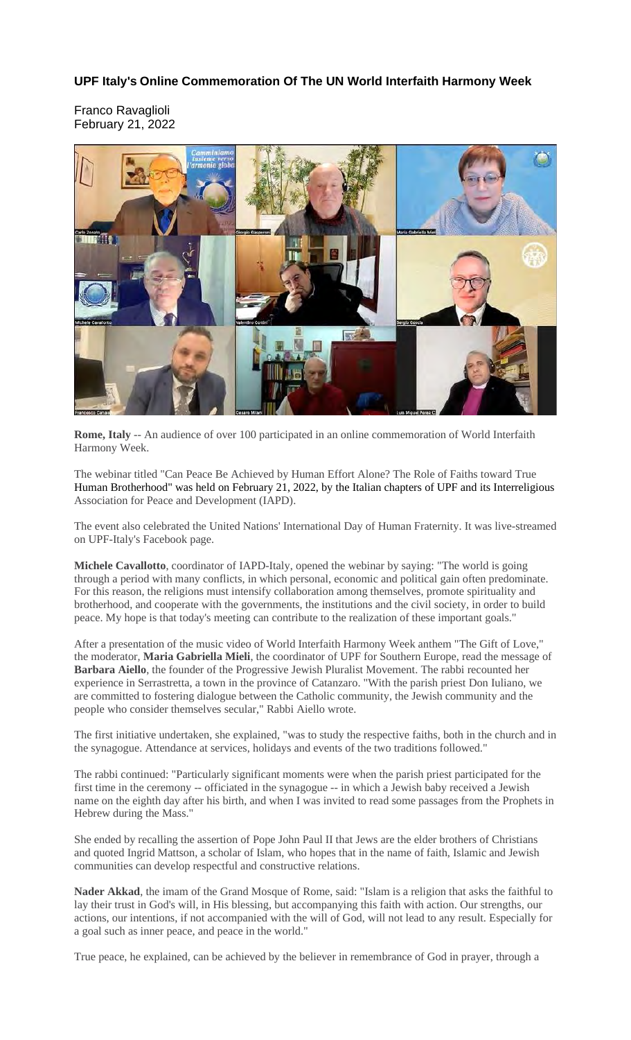## **UPF Italy's Online Commemoration Of The UN World Interfaith Harmony Week**

Franco Ravaglioli February 21, 2022



**Rome, Italy** -- An audience of over 100 participated in an online commemoration of World Interfaith Harmony Week.

The webinar titled "Can Peace Be Achieved by Human Effort Alone? The Role of Faiths toward True Human Brotherhood" was held on February 21, 2022, by the Italian chapters of UPF and its Interreligious Association for Peace and Development (IAPD).

The event also celebrated the United Nations' International Day of Human Fraternity. It was live-streamed on UPF-Italy's Facebook page.

**Michele Cavallotto**, coordinator of IAPD-Italy, opened the webinar by saying: "The world is going through a period with many conflicts, in which personal, economic and political gain often predominate. For this reason, the religions must intensify collaboration among themselves, promote spirituality and brotherhood, and cooperate with the governments, the institutions and the civil society, in order to build peace. My hope is that today's meeting can contribute to the realization of these important goals."

After a presentation of the music video of World Interfaith Harmony Week anthem "The Gift of Love," the moderator, **Maria Gabriella Mieli**, the coordinator of UPF for Southern Europe, read the message of **Barbara Aiello**, the founder of the Progressive Jewish Pluralist Movement. The rabbi recounted her experience in Serrastretta, a town in the province of Catanzaro. "With the parish priest Don Iuliano, we are committed to fostering dialogue between the Catholic community, the Jewish community and the people who consider themselves secular," Rabbi Aiello wrote.

The first initiative undertaken, she explained, "was to study the respective faiths, both in the church and in the synagogue. Attendance at services, holidays and events of the two traditions followed."

The rabbi continued: "Particularly significant moments were when the parish priest participated for the first time in the ceremony -- officiated in the synagogue -- in which a Jewish baby received a Jewish name on the eighth day after his birth, and when I was invited to read some passages from the Prophets in Hebrew during the Mass."

She ended by recalling the assertion of Pope John Paul II that Jews are the elder brothers of Christians and quoted Ingrid Mattson, a scholar of Islam, who hopes that in the name of faith, Islamic and Jewish communities can develop respectful and constructive relations.

**Nader Akkad**, the imam of the Grand Mosque of Rome, said: "Islam is a religion that asks the faithful to lay their trust in God's will, in His blessing, but accompanying this faith with action. Our strengths, our actions, our intentions, if not accompanied with the will of God, will not lead to any result. Especially for a goal such as inner peace, and peace in the world."

True peace, he explained, can be achieved by the believer in remembrance of God in prayer, through a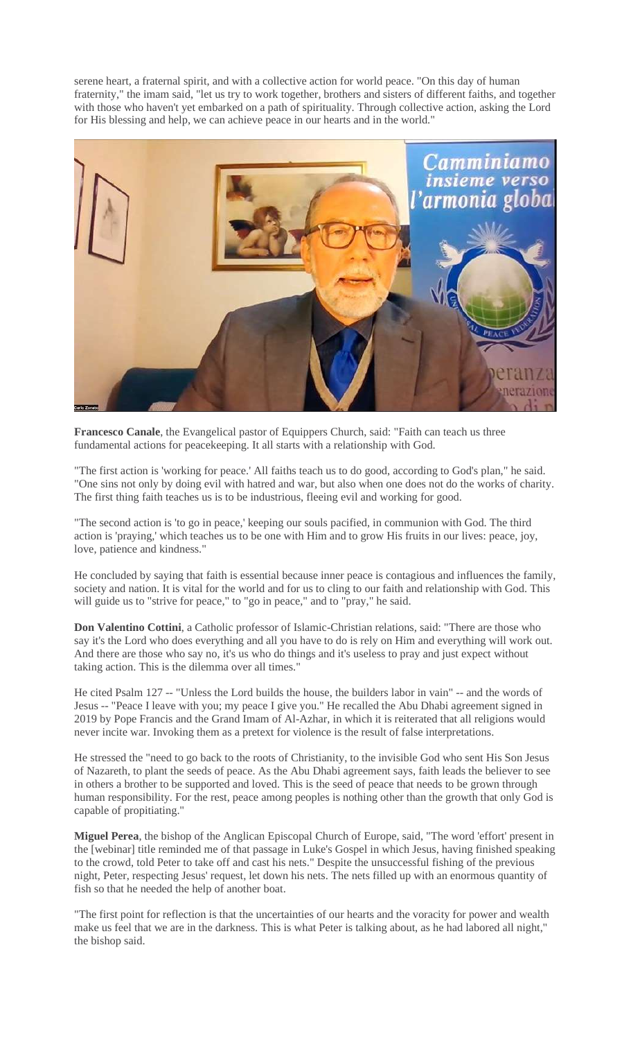serene heart, a fraternal spirit, and with a collective action for world peace. "On this day of human fraternity," the imam said, "let us try to work together, brothers and sisters of different faiths, and together with those who haven't yet embarked on a path of spirituality. Through collective action, asking the Lord for His blessing and help, we can achieve peace in our hearts and in the world."



**Francesco Canale**, the Evangelical pastor of Equippers Church, said: "Faith can teach us three fundamental actions for peacekeeping. It all starts with a relationship with God.

"The first action is 'working for peace.' All faiths teach us to do good, according to God's plan," he said. "One sins not only by doing evil with hatred and war, but also when one does not do the works of charity. The first thing faith teaches us is to be industrious, fleeing evil and working for good.

"The second action is 'to go in peace,' keeping our souls pacified, in communion with God. The third action is 'praying,' which teaches us to be one with Him and to grow His fruits in our lives: peace, joy, love, patience and kindness."

He concluded by saying that faith is essential because inner peace is contagious and influences the family, society and nation. It is vital for the world and for us to cling to our faith and relationship with God. This will guide us to "strive for peace," to "go in peace," and to "pray," he said.

**Don Valentino Cottini**, a Catholic professor of Islamic-Christian relations, said: "There are those who say it's the Lord who does everything and all you have to do is rely on Him and everything will work out. And there are those who say no, it's us who do things and it's useless to pray and just expect without taking action. This is the dilemma over all times."

He cited Psalm 127 -- "Unless the Lord builds the house, the builders labor in vain" -- and the words of Jesus -- "Peace I leave with you; my peace I give you." He recalled the Abu Dhabi agreement signed in 2019 by Pope Francis and the Grand Imam of Al-Azhar, in which it is reiterated that all religions would never incite war. Invoking them as a pretext for violence is the result of false interpretations.

He stressed the "need to go back to the roots of Christianity, to the invisible God who sent His Son Jesus of Nazareth, to plant the seeds of peace. As the Abu Dhabi agreement says, faith leads the believer to see in others a brother to be supported and loved. This is the seed of peace that needs to be grown through human responsibility. For the rest, peace among peoples is nothing other than the growth that only God is capable of propitiating."

**Miguel Perea**, the bishop of the Anglican Episcopal Church of Europe, said, "The word 'effort' present in the [webinar] title reminded me of that passage in Luke's Gospel in which Jesus, having finished speaking to the crowd, told Peter to take off and cast his nets." Despite the unsuccessful fishing of the previous night, Peter, respecting Jesus' request, let down his nets. The nets filled up with an enormous quantity of fish so that he needed the help of another boat.

"The first point for reflection is that the uncertainties of our hearts and the voracity for power and wealth make us feel that we are in the darkness. This is what Peter is talking about, as he had labored all night," the bishop said.